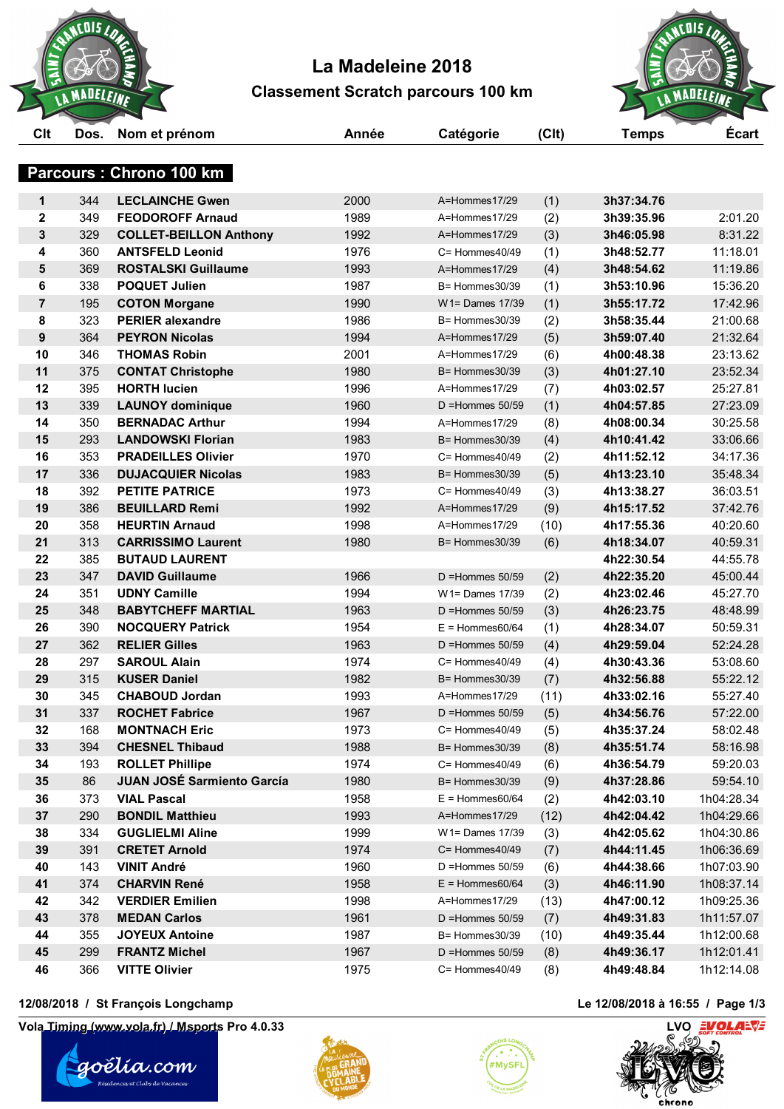

# **La Madeleine 2018 Classement Scratch parcours 100 km**



| Clt         | Dos. | Nom et prénom                     | Année | Catégorie            | (C <sub>l</sub> ) | <b>Temps</b> | <b>Ecart</b> |
|-------------|------|-----------------------------------|-------|----------------------|-------------------|--------------|--------------|
|             |      | Parcours : Chrono 100 km          |       |                      |                   |              |              |
| 1           | 344  | <b>LECLAINCHE Gwen</b>            | 2000  | A=Hommes17/29        | (1)               | 3h37:34.76   |              |
| $\mathbf 2$ | 349  | <b>FEODOROFF Arnaud</b>           | 1989  | A=Hommes17/29        | (2)               | 3h39:35.96   | 2:01.20      |
| 3           | 329  | <b>COLLET-BEILLON Anthony</b>     | 1992  | A=Hommes17/29        | (3)               | 3h46:05.98   | 8:31.22      |
| 4           | 360  | <b>ANTSFELD Leonid</b>            | 1976  | C= Hommes40/49       | (1)               | 3h48:52.77   | 11:18.01     |
| 5           | 369  | <b>ROSTALSKI Guillaume</b>        | 1993  | A=Hommes17/29        | (4)               | 3h48:54.62   | 11:19.86     |
| 6           | 338  | <b>POQUET Julien</b>              | 1987  | B= Hommes30/39       | (1)               | 3h53:10.96   | 15:36.20     |
| 7           | 195  | <b>COTON Morgane</b>              | 1990  | W1= Dames 17/39      | (1)               | 3h55:17.72   | 17:42.96     |
| 8           | 323  | <b>PERIER alexandre</b>           | 1986  | $B =$ Hommes 30/39   | (2)               | 3h58:35.44   | 21:00.68     |
| 9           | 364  | <b>PEYRON Nicolas</b>             | 1994  | A=Hommes17/29        | (5)               | 3h59:07.40   | 21:32.64     |
| 10          | 346  | <b>THOMAS Robin</b>               | 2001  | A=Hommes17/29        | (6)               | 4h00:48.38   | 23:13.62     |
| 11          | 375  | <b>CONTAT Christophe</b>          | 1980  | $B =$ Hommes $30/39$ | (3)               | 4h01:27.10   | 23:52.34     |
| 12          | 395  | <b>HORTH lucien</b>               | 1996  | A=Hommes17/29        | (7)               | 4h03:02.57   | 25:27.81     |
| 13          | 339  | <b>LAUNOY dominique</b>           | 1960  | $D =$ Hommes 50/59   | (1)               | 4h04:57.85   | 27:23.09     |
| 14          | 350  | <b>BERNADAC Arthur</b>            | 1994  | A=Hommes17/29        | (8)               | 4h08:00.34   | 30:25.58     |
| 15          | 293  | <b>LANDOWSKI Florian</b>          | 1983  | B= Hommes30/39       | (4)               | 4h10:41.42   | 33:06.66     |
| 16          | 353  | <b>PRADEILLES Olivier</b>         | 1970  | C= Hommes40/49       | (2)               | 4h11:52.12   | 34:17.36     |
| 17          | 336  | <b>DUJACQUIER Nicolas</b>         | 1983  | B= Hommes30/39       | (5)               | 4h13:23.10   | 35:48.34     |
| 18          | 392  | <b>PETITE PATRICE</b>             | 1973  | C= Hommes40/49       | (3)               | 4h13:38.27   | 36:03.51     |
| 19          | 386  | <b>BEUILLARD Remi</b>             | 1992  | A=Hommes17/29        | (9)               | 4h15:17.52   | 37:42.76     |
| 20          | 358  | <b>HEURTIN Arnaud</b>             | 1998  | A=Hommes17/29        | (10)              | 4h17:55.36   | 40:20.60     |
| 21          | 313  | <b>CARRISSIMO Laurent</b>         | 1980  | B= Hommes30/39       | (6)               | 4h18:34.07   | 40:59.31     |
| 22          | 385  | <b>BUTAUD LAURENT</b>             |       |                      |                   | 4h22:30.54   | 44:55.78     |
| 23          | 347  | <b>DAVID Guillaume</b>            | 1966  | $D =$ Hommes 50/59   | (2)               | 4h22:35.20   | 45:00.44     |
| 24          | 351  | <b>UDNY Camille</b>               | 1994  | W1= Dames 17/39      | (2)               | 4h23:02.46   | 45:27.70     |
| 25          | 348  | <b>BABYTCHEFF MARTIAL</b>         | 1963  | $D =$ Hommes 50/59   | (3)               | 4h26:23.75   | 48:48.99     |
| 26          | 390  | <b>NOCQUERY Patrick</b>           | 1954  | $E =$ Hommes60/64    | (1)               | 4h28:34.07   | 50:59.31     |
| 27          | 362  | <b>RELIER Gilles</b>              | 1963  | $D =$ Hommes 50/59   | (4)               | 4h29:59.04   | 52:24.28     |
| 28          | 297  | <b>SAROUL Alain</b>               | 1974  | $C =$ Hommes $40/49$ | (4)               | 4h30:43.36   | 53:08.60     |
| 29          | 315  | <b>KUSER Daniel</b>               | 1982  | B= Hommes30/39       | (7)               | 4h32:56.88   | 55:22.12     |
| 30          | 345  | <b>CHABOUD Jordan</b>             | 1993  | A=Hommes17/29        | (11)              | 4h33:02.16   | 55:27.40     |
| 31          | 337  | <b>ROCHET Fabrice</b>             | 1967  | $D =$ Hommes 50/59   | (5)               | 4h34:56.76   | 57:22.00     |
| 32          | 168  | <b>MONTNACH Eric</b>              | 1973  | C= Hommes40/49       | (5)               | 4h35:37.24   | 58:02.48     |
| 33          | 394  | <b>CHESNEL Thibaud</b>            | 1988  | B= Hommes30/39       | (8)               | 4h35:51.74   | 58:16.98     |
| 34          | 193  | <b>ROLLET Phillipe</b>            | 1974  | $C =$ Hommes $40/49$ | (6)               | 4h36:54.79   | 59:20.03     |
| 35          | 86   | <b>JUAN JOSÉ Sarmiento García</b> | 1980  | B= Hommes30/39       | (9)               | 4h37:28.86   | 59:54.10     |
| 36          | 373  | <b>VIAL Pascal</b>                | 1958  | $E =$ Hommes60/64    | (2)               | 4h42:03.10   | 1h04:28.34   |
| 37          | 290  | <b>BONDIL Matthieu</b>            | 1993  | A=Hommes17/29        | (12)              | 4h42:04.42   | 1h04:29.66   |
| 38          | 334  | <b>GUGLIELMI Aline</b>            | 1999  | W1= Dames 17/39      | (3)               | 4h42:05.62   | 1h04:30.86   |
| 39          | 391  | <b>CRETET Arnold</b>              | 1974  | C= Hommes40/49       | (7)               | 4h44:11.45   | 1h06:36.69   |
| 40          | 143  | <b>VINIT André</b>                | 1960  | $D =$ Hommes $50/59$ | (6)               | 4h44:38.66   | 1h07:03.90   |
| 41          | 374  | <b>CHARVIN René</b>               | 1958  | $E =$ Hommes60/64    | (3)               | 4h46:11.90   | 1h08:37.14   |
| 42          | 342  | <b>VERDIER Emilien</b>            | 1998  | A=Hommes17/29        | (13)              | 4h47:00.12   | 1h09:25.36   |
| 43          | 378  | <b>MEDAN Carlos</b>               | 1961  | D = Hommes $50/59$   | (7)               | 4h49:31.83   | 1h11:57.07   |
| 44          | 355  | <b>JOYEUX Antoine</b>             | 1987  | B= Hommes30/39       | (10)              | 4h49:35.44   | 1h12:00.68   |
| 45          | 299  | <b>FRANTZ Michel</b>              | 1967  | $D =$ Hommes $50/59$ | (8)               | 4h49:36.17   | 1h12:01.41   |
| 46          | 366  | <b>VITTE Olivier</b>              | 1975  | C= Hommes40/49       | (8)               | 4h49:48.84   | 1h12:14.08   |
|             |      |                                   |       |                      |                   |              |              |

#### **12/08/2018 / St François Longchamp Le 12/08/2018 à 16:55 / Page 1/3**

**Vola Timing (www.vola.fr) / Msports Pro 4.0.33 LVO LVO LVO LVO** 







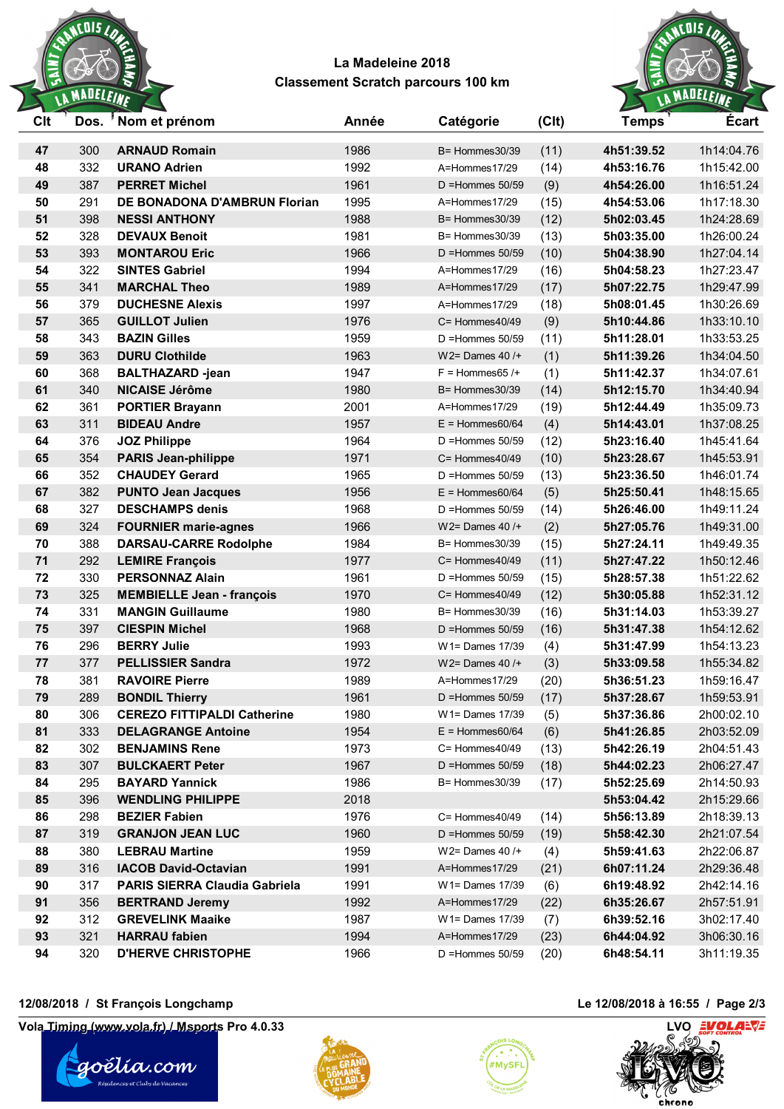

## **La Madeleine 2018 Classement Scratch parcours 100 km**



| Clt      | Dos.       | 'Nom et prénom                                    | Année        | Catégorie                        | (C <sub>l</sub> ) | <b>Temps</b>             | <b>Ecart</b>             |
|----------|------------|---------------------------------------------------|--------------|----------------------------------|-------------------|--------------------------|--------------------------|
| 47       | 300        | <b>ARNAUD Romain</b>                              | 1986         | $B =$ Hommes 30/39               | (11)              | 4h51:39.52               | 1h14:04.76               |
| 48       | 332        | <b>URANO Adrien</b>                               | 1992         | A=Hommes17/29                    | (14)              | 4h53:16.76               | 1h15:42.00               |
| 49       | 387        | <b>PERRET Michel</b>                              | 1961         | $D =$ Hommes 50/59               | (9)               | 4h54:26.00               | 1h16:51.24               |
| 50       | 291        | DE BONADONA D'AMBRUN Florian                      | 1995         | A=Hommes17/29                    | (15)              | 4h54:53.06               | 1h17:18.30               |
| 51       | 398        | <b>NESSI ANTHONY</b>                              | 1988         | $B =$ Hommes 30/39               | (12)              | 5h02:03.45               | 1h24:28.69               |
| 52       | 328        | <b>DEVAUX Benoit</b>                              | 1981         | B= Hommes30/39                   | (13)              | 5h03:35.00               | 1h26:00.24               |
| 53       | 393        | <b>MONTAROU Eric</b>                              | 1966         | $D =$ Hommes $50/59$             | (10)              | 5h04:38.90               | 1h27:04.14               |
| 54       | 322        | <b>SINTES Gabriel</b>                             | 1994         | A=Hommes17/29                    | (16)              | 5h04:58.23               | 1h27:23.47               |
| 55       | 341        | <b>MARCHAL Theo</b>                               | 1989         | A=Hommes17/29                    | (17)              | 5h07:22.75               | 1h29:47.99               |
| 56       | 379        | <b>DUCHESNE Alexis</b>                            | 1997         | A=Hommes17/29                    | (18)              | 5h08:01.45               | 1h30:26.69               |
| 57       | 365        | <b>GUILLOT Julien</b>                             | 1976         | $C =$ Hommes $40/49$             | (9)               | 5h10:44.86               | 1h33:10.10               |
| 58       | 343        | <b>BAZIN Gilles</b>                               | 1959         | $D =$ Hommes $50/59$             | (11)              | 5h11:28.01               | 1h33:53.25               |
| 59       | 363        | <b>DURU Clothilde</b>                             | 1963         | $W2 =$ Dames 40 /+               | (1)               | 5h11:39.26               | 1h34:04.50               |
| 60       | 368        | <b>BALTHAZARD -jean</b>                           | 1947         | $F =$ Hommes 65 /+               | (1)               | 5h11:42.37               | 1h34:07.61               |
| 61       | 340        | <b>NICAISE Jérôme</b>                             | 1980         | $B =$ Hommes 30/39               | (14)              | 5h12:15.70               | 1h34:40.94               |
| 62       | 361        | <b>PORTIER Brayann</b>                            | 2001         | A=Hommes17/29                    | (19)              | 5h12:44.49               | 1h35:09.73               |
| 63       | 311        | <b>BIDEAU Andre</b>                               | 1957         | $E =$ Hommes60/64                | (4)               | 5h14:43.01               | 1h37:08.25               |
| 64       | 376        | <b>JOZ Philippe</b>                               | 1964         | $D =$ Hommes $50/59$             | (12)              | 5h23:16.40               | 1h45:41.64               |
| 65       | 354        | <b>PARIS Jean-philippe</b>                        | 1971         | $C =$ Hommes $40/49$             | (10)              | 5h23:28.67               | 1h45:53.91               |
| 66       | 352        | <b>CHAUDEY Gerard</b>                             | 1965         | $D =$ Hommes $50/59$             | (13)              | 5h23:36.50               | 1h46:01.74               |
| 67       | 382        | <b>PUNTO Jean Jacques</b>                         | 1956         | $E =$ Hommes60/64                | (5)               | 5h25:50.41               | 1h48:15.65               |
| 68       | 327        | <b>DESCHAMPS denis</b>                            | 1968         | $D =$ Hommes 50/59               | (14)              | 5h26:46.00               | 1h49:11.24               |
| 69       | 324        | <b>FOURNIER marie-agnes</b>                       | 1966         | $W2 =$ Dames 40 /+               | (2)               | 5h27:05.76               | 1h49:31.00               |
| 70       | 388        | <b>DARSAU-CARRE Rodolphe</b>                      | 1984         | B= Hommes30/39                   | (15)              | 5h27:24.11               | 1h49:49.35               |
| 71       | 292        | <b>LEMIRE François</b>                            | 1977         | $C =$ Hommes $40/49$             | (11)              | 5h27:47.22               | 1h50:12.46               |
| 72       | 330        | <b>PERSONNAZ Alain</b>                            | 1961         | $D =$ Hommes $50/59$             | (15)              | 5h28:57.38               | 1h51:22.62               |
| 73       | 325        | <b>MEMBIELLE Jean - françois</b>                  | 1970         | C= Hommes40/49                   | (12)              | 5h30:05.88               | 1h52:31.12               |
| 74       | 331        | <b>MANGIN Guillaume</b>                           | 1980         | $B =$ Hommes $30/39$             | (16)              | 5h31:14.03               | 1h53:39.27               |
| 75       | 397        | <b>CIESPIN Michel</b>                             | 1968         | D = Hommes $50/59$               | (16)              | 5h31:47.38               | 1h54:12.62               |
| 76       | 296        | <b>BERRY Julie</b>                                | 1993         | W1= Dames 17/39                  | (4)               | 5h31:47.99               | 1h54:13.23               |
| 77       | 377        | <b>PELLISSIER Sandra</b>                          | 1972         | $W2 =$ Dames 40 /+               | (3)               | 5h33:09.58               | 1h55:34.82               |
| 78       | 381        | <b>RAVOIRE Pierre</b>                             | 1989         | A=Hommes17/29                    | (20)              | 5h36:51.23               | 1h59:16.47               |
| 79       | 289        | <b>BONDIL Thierry</b>                             | 1961         | $D =$ Hommes 50/59               | (17)              | 5h37:28.67               | 1h59:53.91               |
| 80       | 306        | <b>CEREZO FITTIPALDI Catherine</b>                | 1980         | W1= Dames 17/39                  | (5)               | 5h37:36.86               | 2h00:02.10               |
| 81       | 333        | <b>DELAGRANGE Antoine</b>                         | 1954         | $E =$ Hommes60/64                | (6)               | 5h41:26.85               | 2h03:52.09               |
| 82       | 302        | <b>BENJAMINS Rene</b>                             | 1973         | C= Hommes40/49                   | (13)              | 5h42:26.19               | 2h04:51.43               |
| 83       | 307        | <b>BULCKAERT Peter</b>                            | 1967         | $D =$ Hommes $50/59$             | (18)              | 5h44:02.23               | 2h06:27.47               |
| 84       | 295        | <b>BAYARD Yannick</b>                             | 1986         | B= Hommes30/39                   | (17)              | 5h52:25.69               | 2h14:50.93               |
| 85       | 396        | <b>WENDLING PHILIPPE</b>                          | 2018         |                                  |                   | 5h53:04.42               | 2h15:29.66               |
| 86       | 298        | <b>BEZIER Fabien</b>                              | 1976         | C= Hommes40/49                   | (14)              | 5h56:13.89               | 2h18:39.13               |
| 87       | 319        | <b>GRANJON JEAN LUC</b>                           | 1960         | $D =$ Hommes 50/59               | (19)              | 5h58:42.30               | 2h21:07.54               |
| 88       | 380        | <b>LEBRAU Martine</b>                             | 1959         | $W2 =$ Dames 40 /+               | (4)               | 5h59:41.63               | 2h22:06.87               |
| 89       | 316        | <b>IACOB David-Octavian</b>                       | 1991         | A=Hommes17/29                    | (21)              | 6h07:11.24               | 2h29:36.48               |
| 90       | 317<br>356 | <b>PARIS SIERRA Claudia Gabriela</b>              | 1991         | W1= Dames 17/39                  | (6)               | 6h19:48.92               | 2h42:14.16               |
| 91<br>92 | 312        | <b>BERTRAND Jeremy</b><br><b>GREVELINK Maaike</b> | 1992<br>1987 | A=Hommes17/29<br>W1= Dames 17/39 | (22)              | 6h35:26.67<br>6h39:52.16 | 2h57:51.91<br>3h02:17.40 |
| 93       | 321        | <b>HARRAU</b> fabien                              | 1994         | A=Hommes17/29                    | (7)<br>(23)       | 6h44:04.92               | 3h06:30.16               |
| 94       | 320        | <b>D'HERVE CHRISTOPHE</b>                         | 1966         | D = Hommes $50/59$               | (20)              | 6h48:54.11               | 3h11:19.35               |
|          |            |                                                   |              |                                  |                   |                          |                          |

### **12/08/2018 / St François Longchamp Le 12/08/2018 à 16:55 / Page 2/3**

**Vola Timing (www.vola.fr) / Msports Pro 4.0.33 LVO LVO LVO LVO LVO LVO**